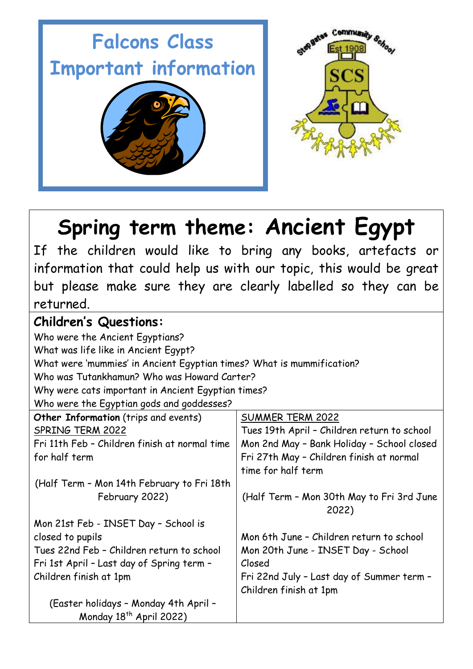

# **Spring term theme: Ancient Egypt**

If the children would like to bring any books, artefacts or information that could help us with our topic, this would be great but please make sure they are clearly labelled so they can be returned.

# **Children's Questions:**

Who were the Ancient Egyptians? What was life like in Ancient Egypt? What were 'mummies' in Ancient Egyptian times? What is mummification? Who was Tutankhamun? Who was Howard Carter? Why were cats important in Ancient Egyptian times? Who were the Egyptian gods and goddesses? **Other Information** (trips and events) SPRING TERM 2022 Fri 11th Feb – Children finish at normal time for half term (Half Term – Mon 14th February to Fri 18th February 2022) Mon 21st Feb - INSET Day – School is closed to pupils Tues 22nd Feb – Children return to school Fri 1st April – Last day of Spring term – Children finish at 1pm (Easter holidays – Monday 4th April – Monday 18<sup>th</sup> April 2022) SUMMER TERM 2022 Tues 19th April – Children return to school Mon 2nd May – Bank Holiday – School closed Fri 27th May – Children finish at normal time for half term (Half Term – Mon 30th May to Fri 3rd June 2022) Mon 6th June – Children return to school Mon 20th June - INSET Day - School Closed Fri 22nd July – Last day of Summer term – Children finish at 1pm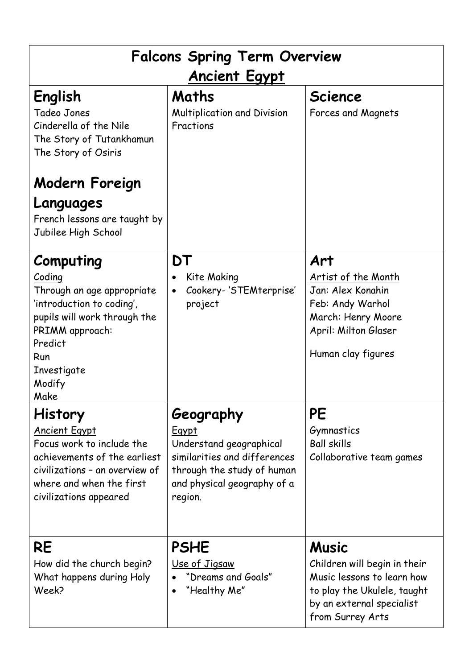| <b>Falcons Spring Term Overview</b><br><b>Ancient Egypt</b>                                                                                                                                 |                                                                                                                                                              |                                                                                                                                                            |
|---------------------------------------------------------------------------------------------------------------------------------------------------------------------------------------------|--------------------------------------------------------------------------------------------------------------------------------------------------------------|------------------------------------------------------------------------------------------------------------------------------------------------------------|
| English<br>Tadeo Jones<br>Cinderella of the Nile<br>The Story of Tutankhamun<br>The Story of Osiris<br>Modern Foreign<br>Languages<br>French lessons are taught by<br>Jubilee High School   | Maths<br>Multiplication and Division<br>Fractions                                                                                                            | <b>Science</b><br>Forces and Magnets                                                                                                                       |
| Computing<br>Coding<br>Through an age appropriate<br>'introduction to coding',<br>pupils will work through the<br>PRIMM approach:<br>Predict<br>Run<br>Investigate<br>Modify<br>Make        | DT<br>Kite Making<br>Cookery- 'STEMterprise'<br>project                                                                                                      | Art<br>Artist of the Month<br>Jan: Alex Konahin<br>Feb: Andy Warhol<br>March: Henry Moore<br>April: Milton Glaser<br>Human clay figures                    |
| <b>History</b><br><b>Ancient Egypt</b><br>Focus work to include the<br>achievements of the earliest<br>civilizations - an overview of<br>where and when the first<br>civilizations appeared | Geography<br><b>Egypt</b><br>Understand geographical<br>similarities and differences<br>through the study of human<br>and physical geography of a<br>region. | PE<br>Gymnastics<br><b>Ball skills</b><br>Collaborative team games                                                                                         |
| RE<br>How did the church begin?<br>What happens during Holy<br>Week?                                                                                                                        | <b>PSHE</b><br>Use of Jigsaw<br>"Dreams and Goals"<br>"Healthy Me"                                                                                           | <b>Music</b><br>Children will begin in their<br>Music lessons to learn how<br>to play the Ukulele, taught<br>by an external specialist<br>from Surrey Arts |